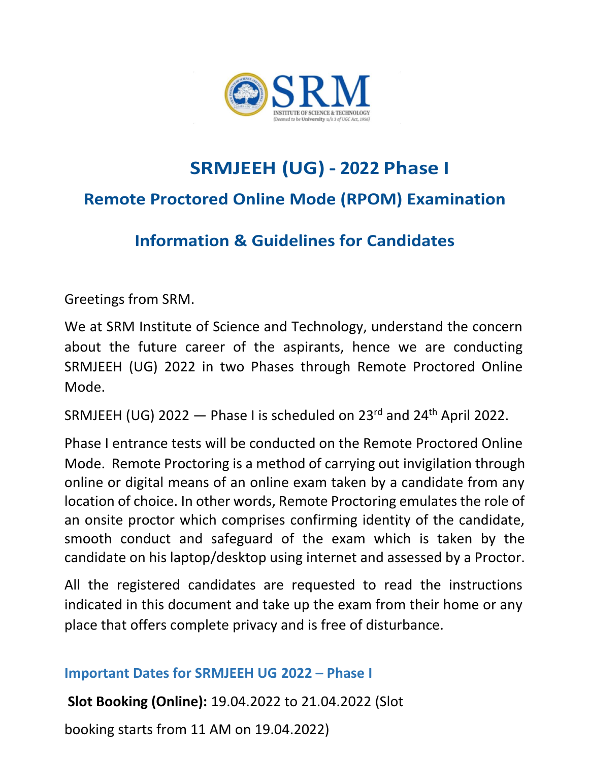

# **SRMJEEH (UG) - 2022 Phase I Remote Proctored Online Mode (RPOM) Examination**

# **Information & Guidelines for Candidates**

Greetings from SRM.

We at SRM Institute of Science and Technology, understand the concern about the future career of the aspirants, hence we are conducting SRMJEEH (UG) 2022 in two Phases through Remote Proctored Online Mode.

SRMJEEH (UG) 2022 — Phase I is scheduled on 23rd and 24th April 2022.

Phase I entrance tests will be conducted on the Remote Proctored Online Mode. Remote Proctoring is a method of carrying out invigilation through online or digital means of an online exam taken by a candidate from any location of choice. In other words, Remote Proctoring emulates the role of an onsite proctor which comprises confirming identity of the candidate, smooth conduct and safeguard of the exam which is taken by the candidate on his laptop/desktop using internet and assessed by a Proctor.

All the registered candidates are requested to read the instructions indicated in this document and take up the exam from their home or any place that offers complete privacy and is free of disturbance.

### **Important Dates for SRMJEEH UG 2022 – Phase I**

**Slot Booking (Online):** 19.04.2022 to 21.04.2022 (Slot

booking starts from 11 AM on 19.04.2022)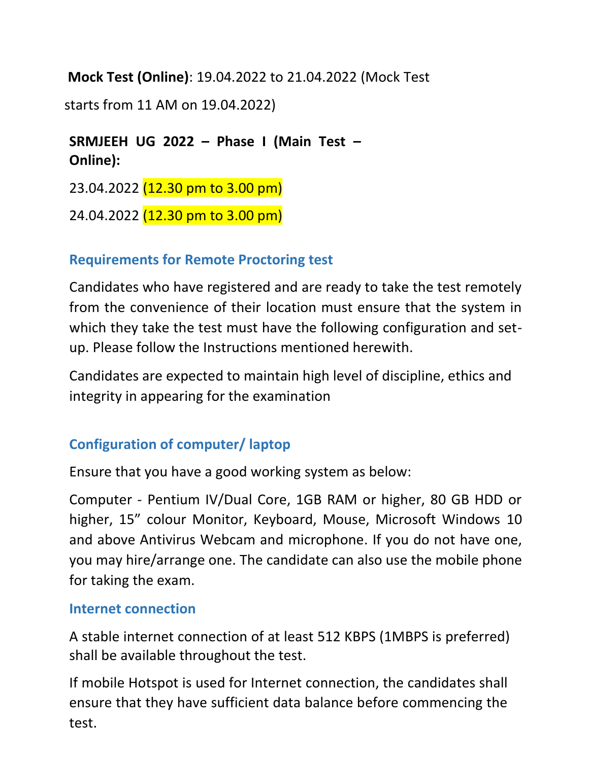**Mock Test (Online)**: 19.04.2022 to 21.04.2022 (Mock Test

starts from 11 AM on 19.04.2022)

### **SRMJEEH UG 2022 – Phase I (Main Test – Online):**

23.04.2022 (12.30 pm to 3.00 pm)

24.04.2022 (12.30 pm to 3.00 pm)

### **Requirements for Remote Proctoring test**

Candidates who have registered and are ready to take the test remotely from the convenience of their location must ensure that the system in which they take the test must have the following configuration and setup. Please follow the Instructions mentioned herewith.

Candidates are expected to maintain high level of discipline, ethics and integrity in appearing for the examination

## **Configuration of computer/ laptop**

Ensure that you have a good working system as below:

Computer - Pentium IV/Dual Core, 1GB RAM or higher, 80 GB HDD or higher, 15" colour Monitor, Keyboard, Mouse, Microsoft Windows 10 and above Antivirus Webcam and microphone. If you do not have one, you may hire/arrange one. The candidate can also use the mobile phone for taking the exam.

### **Internet connection**

A stable internet connection of at least 512 KBPS (1MBPS is preferred) shall be available throughout the test.

If mobile Hotspot is used for Internet connection, the candidates shall ensure that they have sufficient data balance before commencing the test.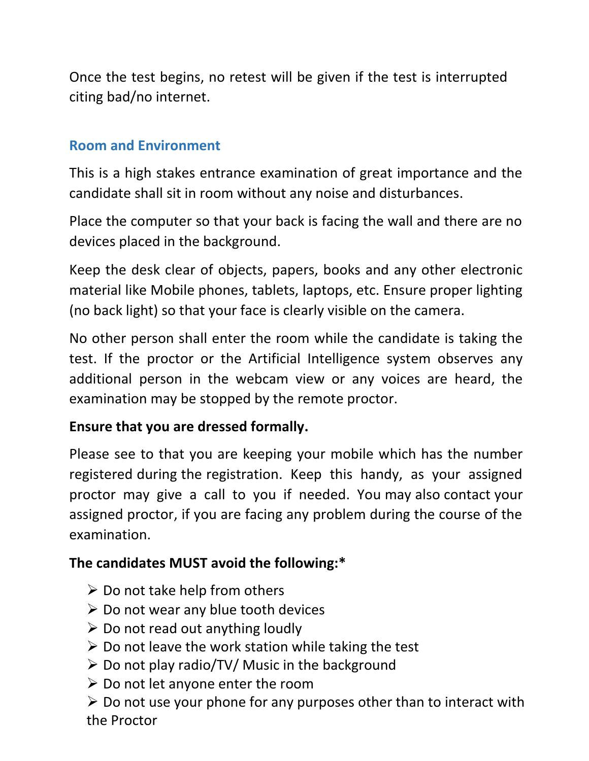Once the test begins, no retest will be given if the test is interrupted citing bad/no internet.

### **Room and Environment**

This is a high stakes entrance examination of great importance and the candidate shall sit in room without any noise and disturbances.

Place the computer so that your back is facing the wall and there are no devices placed in the background.

Keep the desk clear of objects, papers, books and any other electronic material like Mobile phones, tablets, laptops, etc. Ensure proper lighting (no back light) so that your face is clearly visible on the camera.

No other person shall enter the room while the candidate is taking the test. If the proctor or the Artificial Intelligence system observes any additional person in the webcam view or any voices are heard, the examination may be stopped by the remote proctor.

### **Ensure that you are dressed formally.**

Please see to that you are keeping your mobile which has the number registered during the registration. Keep this handy, as your assigned proctor may give a call to you if needed. You may also contact your assigned proctor, if you are facing any problem during the course of the examination.

### **The candidates MUST avoid the following:\***

- $\triangleright$  Do not take help from others
- $\triangleright$  Do not wear any blue tooth devices
- $\triangleright$  Do not read out anything loudly
- $\triangleright$  Do not leave the work station while taking the test
- $\triangleright$  Do not play radio/TV/ Music in the background
- $\triangleright$  Do not let anyone enter the room

 $\triangleright$  Do not use your phone for any purposes other than to interact with the Proctor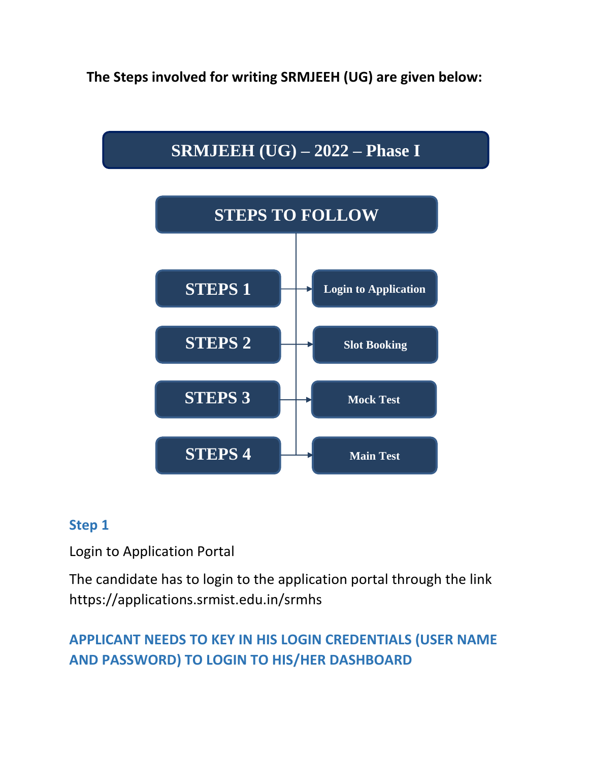**The Steps involved for writing SRMJEEH (UG) are given below:**



### **Step 1**

Login to Application Portal

The candidate has to login to the application portal through the link https://applications.srmist.edu.in/srmhs

# **APPLICANT NEEDS TO KEY IN HIS LOGIN CREDENTIALS (USER NAME AND PASSWORD) TO LOGIN TO HIS/HER DASHBOARD**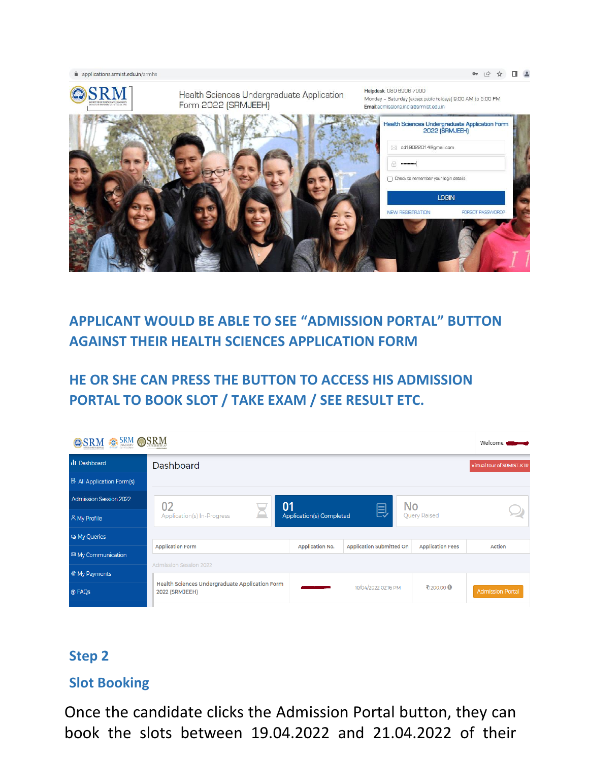applications.srmist.edu.in/srmhs



### **APPLICANT WOULD BE ABLE TO SEE "ADMISSION PORTAL" BUTTON AGAINST THEIR HEALTH SCIENCES APPLICATION FORM**

### **HE OR SHE CAN PRESS THE BUTTON TO ACCESS HIS ADMISSION PORTAL TO BOOK SLOT / TAKE EXAM / SEE RESULT ETC.**

| <b>SRM OSRM</b><br>OSRM          |                                                                  |                                 |                                 |                         | Welcome $\blacksquare$     |
|----------------------------------|------------------------------------------------------------------|---------------------------------|---------------------------------|-------------------------|----------------------------|
| <b>III</b> Dashboard             | Dashboard                                                        |                                 |                                 |                         | Virtual tour of SRMIST-KTR |
| <b>B</b> All Application Form(s) |                                                                  |                                 |                                 |                         |                            |
| <b>Admission Session 2022</b>    | 01<br>02                                                         |                                 | <b>No</b>                       |                         |                            |
| A My Profile                     | Application(s) In-Progress                                       | <b>Application(s) Completed</b> | 艮                               | <b>Query Raised</b>     |                            |
| <b>Q</b> My Queries              |                                                                  |                                 |                                 |                         |                            |
| <sup>⊠</sup> My Communication    | <b>Application Form</b>                                          | <b>Application No.</b>          | <b>Application Submitted On</b> | <b>Application Fees</b> | <b>Action</b>              |
| My Payments                      | <b>Admission Session 2022</b>                                    |                                 |                                 |                         |                            |
| <b>O</b> FAQs                    | Health Sciences Undergraduate Application Form<br>2022 (SRMJEEH) |                                 | 10/04/2022 02:16 PM             | ₹1200.00 <b>①</b>       | <b>Admission Portal</b>    |

#### **Step 2**

### **Slot Booking**

Once the candidate clicks the Admission Portal button, they can book the slots between 19.04.2022 and 21.04.2022 of their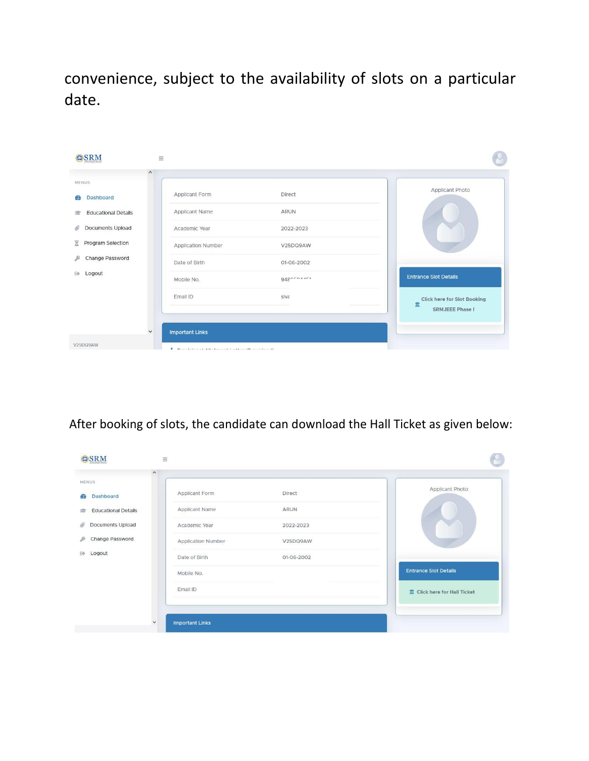convenience, subject to the availability of slots on a particular date.

| OSRM                            | $\equiv$                                                |                                                                   |
|---------------------------------|---------------------------------------------------------|-------------------------------------------------------------------|
| MENUS:                          | $\wedge$                                                | Applicant Photo                                                   |
| <b>Dashboard</b><br>Œ           | Applicant Form<br>Direct                                |                                                                   |
| <b>Educational Details</b><br>虘 | Applicant Name<br><b>ARUN</b>                           |                                                                   |
| Documents Upload<br>O           | Academic Year<br>2022-2023                              |                                                                   |
| Program Selection<br>g          | Application Number<br>V25DQ9AW                          |                                                                   |
| Change Password<br>e            | Date of Birth<br>01-06-2002                             |                                                                   |
| Logout<br>GФ                    | 9480004404<br>Mobile No.                                | <b>Entrance Slot Details</b>                                      |
|                                 | siva<br>Email ID                                        | <b>Click here for Slot Booking</b><br>m<br><b>SRMJEEE Phase I</b> |
|                                 | <b>Important Links</b><br>$\checkmark$                  |                                                                   |
| V25DQ9AW                        | Photoshop and Although and Franklin (Process to a strip |                                                                   |

After booking of slots, the candidate can download the Hall Ticket as given below:

|                            | Applicant Form     | Direct     | Applicant Photo                       |
|----------------------------|--------------------|------------|---------------------------------------|
| Dashboard                  | Applicant Name     | ARUN       |                                       |
| <b>Educational Details</b> |                    |            |                                       |
| Documents Upload           | Academic Year      | 2022-2023  |                                       |
| Change Password            | Application Number | V25DQ9AW   |                                       |
| Logout                     | Date of Birth      | 01-06-2002 |                                       |
|                            | Mobile No.         |            | <b>Entrance Slot Details</b>          |
|                            | Email ID           |            | <b>III</b> Click here for Hall Ticket |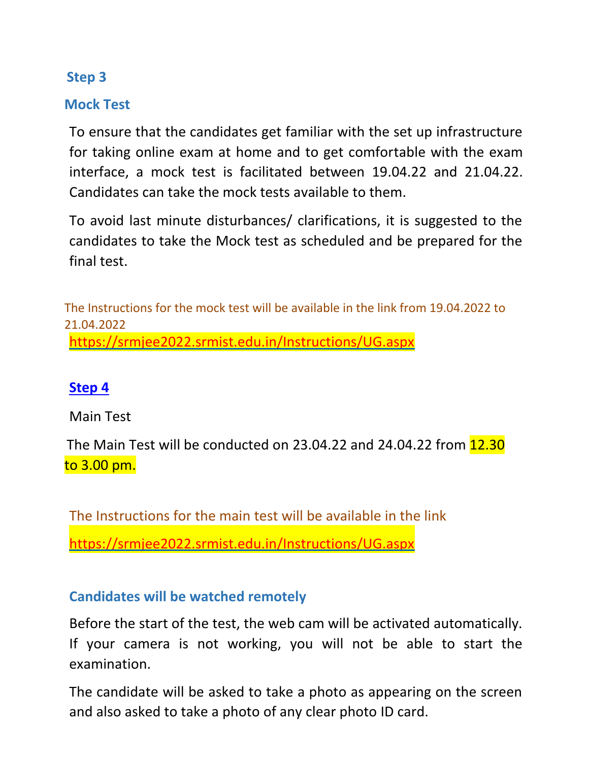#### **Step 3**

#### **Mock Test**

To ensure that the candidates get familiar with the set up infrastructure for taking online exam at home and to get comfortable with the exam interface, a mock test is facilitated between 19.04.22 and 21.04.22. Candidates can take the mock tests available to them.

To avoid last minute disturbances/ clarifications, it is suggested to the candidates to take the Mock test as scheduled and be prepared for the final test.

The Instructions for the mock test will be available in the link from 19.04.2022 to 21.04.2022 <https://srmjee2022.srmist.edu.in/Instructions/UG.aspx>

#### **[Step 4](https://srmjee2022.srmist.edu.in/Instructions/UG.aspx%20Step%204)**

Main Test

The Main Test will be conducted on 23.04.22 and 24.04.22 from 12.30 to 3.00 pm.

The Instructions for the main test will be available in the link <https://srmjee2022.srmist.edu.in/Instructions/UG.aspx>

#### **Candidates will be watched remotely**

Before the start of the test, the web cam will be activated automatically. If your camera is not working, you will not be able to start the examination.

The candidate will be asked to take a photo as appearing on the screen and also asked to take a photo of any clear photo ID card.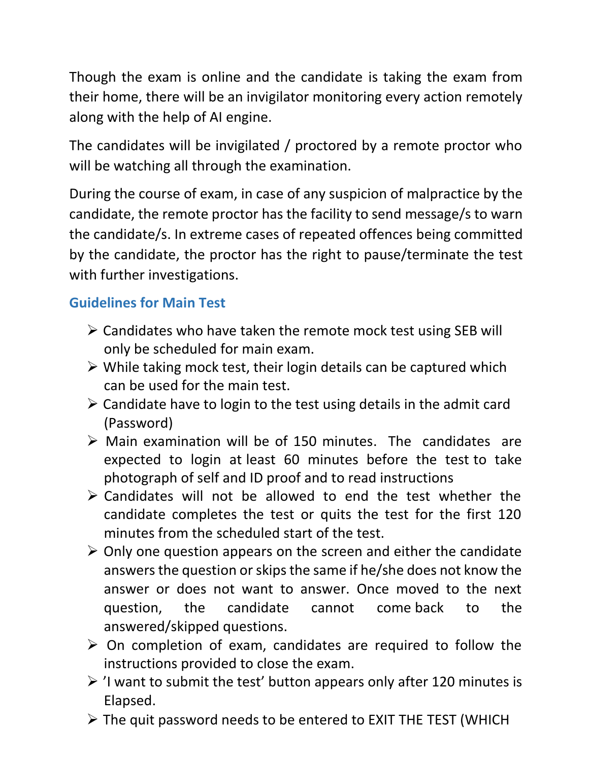Though the exam is online and the candidate is taking the exam from their home, there will be an invigilator monitoring every action remotely along with the help of AI engine.

The candidates will be invigilated / proctored by a remote proctor who will be watching all through the examination.

During the course of exam, in case of any suspicion of malpractice by the candidate, the remote proctor has the facility to send message/s to warn the candidate/s. In extreme cases of repeated offences being committed by the candidate, the proctor has the right to pause/terminate the test with further investigations.

### **Guidelines for Main Test**

- $\triangleright$  Candidates who have taken the remote mock test using SEB will only be scheduled for main exam.
- $\triangleright$  While taking mock test, their login details can be captured which can be used for the main test.
- $\triangleright$  Candidate have to login to the test using details in the admit card (Password)
- $\triangleright$  Main examination will be of 150 minutes. The candidates are expected to login at least 60 minutes before the test to take photograph of self and ID proof and to read instructions
- $\triangleright$  Candidates will not be allowed to end the test whether the candidate completes the test or quits the test for the first 120 minutes from the scheduled start of the test.
- $\triangleright$  Only one question appears on the screen and either the candidate answers the question or skips the same if he/she does not know the answer or does not want to answer. Once moved to the next question, the candidate cannot come back to the answered/skipped questions.
- $\triangleright$  On completion of exam, candidates are required to follow the instructions provided to close the exam.
- $\geq$  'I want to submit the test' button appears only after 120 minutes is Elapsed.
- $\triangleright$  The quit password needs to be entered to EXIT THE TEST (WHICH